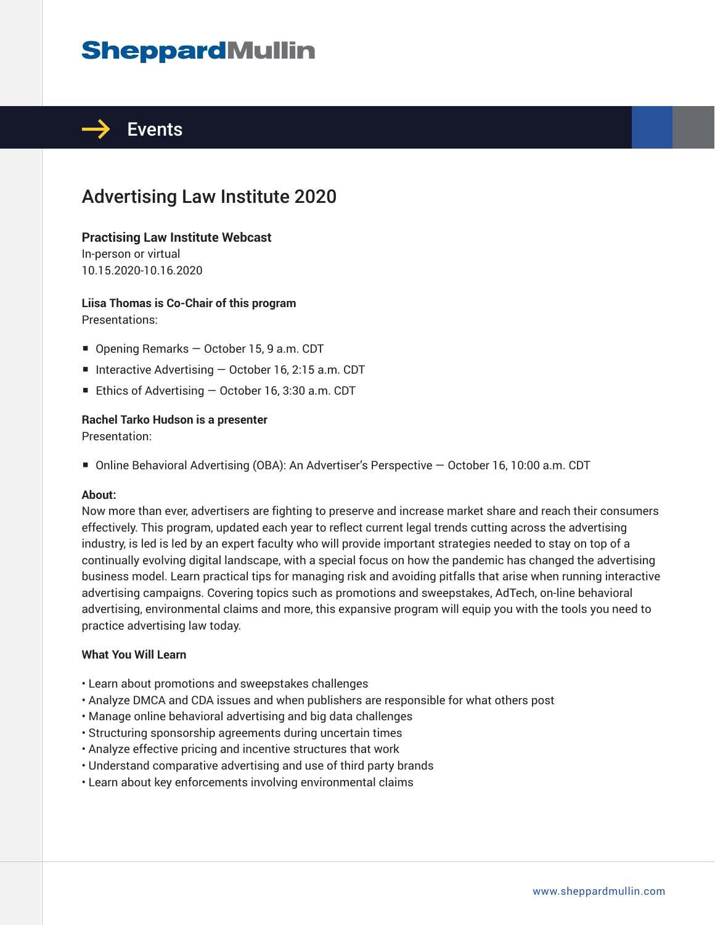## **SheppardMullin**



## Advertising Law Institute 2020

#### **Practising Law Institute Webcast**

In-person or virtual 10.15.2020-10.16.2020

**Liisa Thomas is Co-Chair of this program**  Presentations:

- Opening Remarks October 15, 9 a.m. CDT
- Interactive Advertising October 16, 2:15 a.m. CDT
- Ethics of Advertising October 16, 3:30 a.m. CDT

#### **Rachel Tarko Hudson is a presenter**

Presentation:

■ Online Behavioral Advertising (OBA): An Advertiser's Perspective – October 16, 10:00 a.m. CDT

#### **About:**

Now more than ever, advertisers are fighting to preserve and increase market share and reach their consumers effectively. This program, updated each year to reflect current legal trends cutting across the advertising industry, is led is led by an expert faculty who will provide important strategies needed to stay on top of a continually evolving digital landscape, with a special focus on how the pandemic has changed the advertising business model. Learn practical tips for managing risk and avoiding pitfalls that arise when running interactive advertising campaigns. Covering topics such as promotions and sweepstakes, AdTech, on-line behavioral advertising, environmental claims and more, this expansive program will equip you with the tools you need to practice advertising law today.

#### **What You Will Learn**

- Learn about promotions and sweepstakes challenges
- Analyze DMCA and CDA issues and when publishers are responsible for what others post
- Manage online behavioral advertising and big data challenges
- Structuring sponsorship agreements during uncertain times
- Analyze effective pricing and incentive structures that work
- Understand comparative advertising and use of third party brands
- Learn about key enforcements involving environmental claims